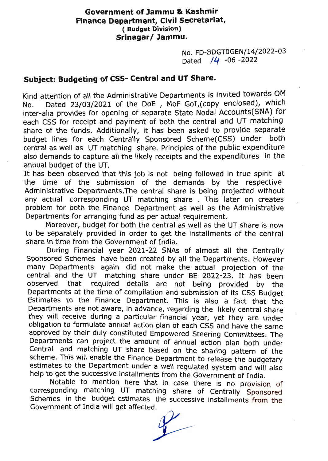## Government of Jammu & Kashmir Finance Department, Civil Secretariat, (Budget Division) Srinagar/ Jammu.

No. FD-BDGTOGEN/14/2022-03 Dated /4 -06 -2022

## Subject: Budgeting of CSS- Central and UT Share.

Kind attention of all the Administrative Departments is invited towards OM<br>No. Dated 23/03/2021 of the DoE, MoF GoI, (copy enclosed), which No. Dated 23/03/2021 of the DoE, MoF Gol, (copy enclosed), which inter-alia provides for opening of separate State Nodal Accounts(SNA) for each CSS for receipt and payment of both the central and UT matching share of the funds. Additionally, it has been asked to provide separate budget lines for each Centrally Sponsored Scheme(CSS) under both central as well as UT matching share. Principles of the public expenditure also demands to capture all the likely receipts and the expenditures in the annual budget of the UT.

It has been observed that this job is not being followed in true spirit at the time of the submission of the demands by the respective Administrative Departments.The central share is being projected without any actual corresponding UT matching share. This later on creates problem for both the Finance Department as well as the Administrative Departments for arranging fund as per actual requirement.

Moreover, budget for both the central as well as the UT share is now to be separately provided in order to get the installments of the central share in time from the Government of India.

During Financial year 2021-22 SNAs of almost all the Centrally Sponsored Schemes have been created by all the Departments. However many Departments again did not make the actual projection of the central and the UT matching share under BE 2022-23. It has been observed that required details are not being provided by the Departments at the time of compilation and submission of its CSS Budget<br>Estimates to the Finance Department. This is also a fact that the Departments are not aware, in advance, regarding the likely central share<br>they will receive during a particular financial year, yet they are under<br>obligation to formulate annual action plan of each CSS and have the same<br>ap Central and matching UT share based on the sharing pattern of the Departments can project the amount of annual action plan both under estimates to scheme. This will enable the Finance Department to release the budgetary scheme. This will enable the Finance Department to release the budgetary<br>estimates to the Department under a well regulated system and will also<br>help to get the successive installments from the Government of India.<br>Notable

Schemes Notable to mention here that in case there is no provision of<br>corresponding matching UT matching share of Centrally Sponsored corresponding matching UT matching share of Centrally Sponsored Schemes in the budget estimates the successive installments from the Government of India will get affected.